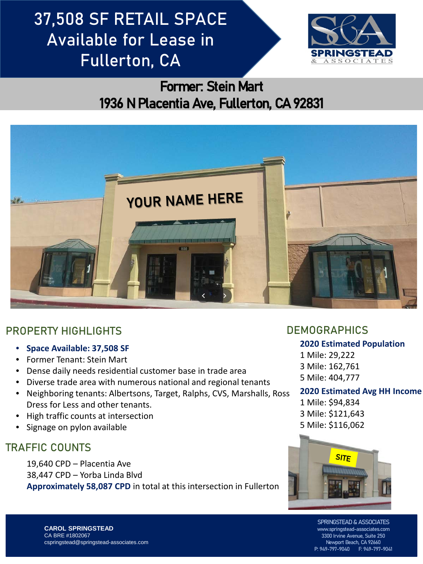# 37,508 SF RETAIL SPACE Available for Lease in Fullerton, CA



## Former: Stein Mart 1936 N Placentia Ave, Fullerton, CA 92831



### PROPERTY HIGHLIGHTS **DEMOGRAPHICS**

- **Space Available: 37,508 SF**
- Former Tenant: Stein Mart
- Dense daily needs residential customer base in trade area
- Diverse trade area with numerous national and regional tenants
- Neighboring tenants: Albertsons, Target, Ralphs, CVS, Marshalls, Ross Dress for Less and other tenants.
- High traffic counts at intersection
- Signage on pylon available

### TRAFFIC COUNTS

19,640 CPD – Placentia Ave 38,447 CPD – Yorba Linda Blvd **Approximately 58,087 CPD** in total at this intersection in Fullerton

#### **2020 Estimated Population**

1 Mile: 29,222 3 Mile: 162,761 5 Mile: 404,777

#### **2020 Estimated Avg HH Income**

1 Mile: \$94,834 3 Mile: \$121,643 5 Mile: \$116,062



SPRINGSTEAD & ASSOCIATES www.springstead-associates.com 3300 Irvine Avenue, Suite 250 Newport Beach, CA 92660<br>9-797-9040 F: 949-797-9041 P: 949-797-9040

**CAROL SPRINGSTEAD** CA BRE #1802067 cspringstead@springstead-associates.com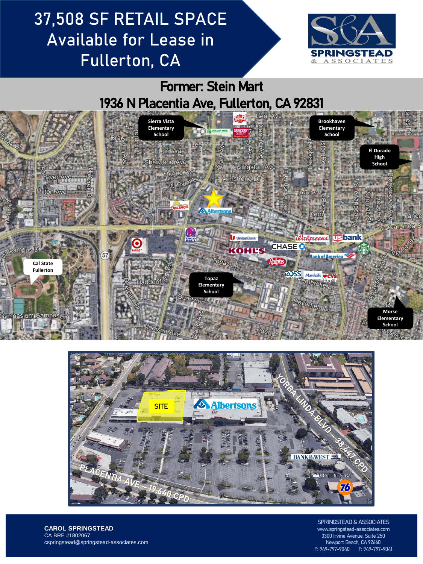# 37,508 SF RETAIL SPACE Available for Lease in Fullerton, CA



### Former: Stein Mart 1936 N Placentia Ave, Fullerton, CA 92831





**CAROL SPRINGSTEAD** CA BRE #1802067 cspringstead@springstead-associates.com

SPRINGSTEAD & ASSOCIATES www.springstead-associates.com 3300 Irvine Avenue, Suite 250 Newport Beach, CA 92660 P: 949-797-9040